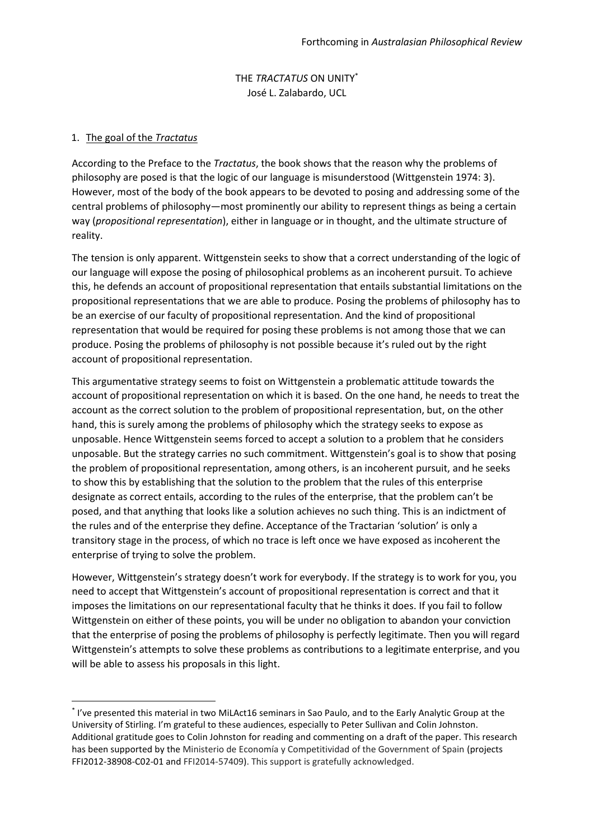# THE *TRACTATUS* ON UNITY\* José L. Zalabardo, UCL

### 1. The goal of the *Tractatus*

**.** 

According to the Preface to the *Tractatus*, the book shows that the reason why the problems of philosophy are posed is that the logic of our language is misunderstood (Wittgenstein 1974: 3). However, most of the body of the book appears to be devoted to posing and addressing some of the central problems of philosophy—most prominently our ability to represent things as being a certain way (*propositional representation*), either in language or in thought, and the ultimate structure of reality.

The tension is only apparent. Wittgenstein seeks to show that a correct understanding of the logic of our language will expose the posing of philosophical problems as an incoherent pursuit. To achieve this, he defends an account of propositional representation that entails substantial limitations on the propositional representations that we are able to produce. Posing the problems of philosophy has to be an exercise of our faculty of propositional representation. And the kind of propositional representation that would be required for posing these problems is not among those that we can produce. Posing the problems of philosophy is not possible because it's ruled out by the right account of propositional representation.

This argumentative strategy seems to foist on Wittgenstein a problematic attitude towards the account of propositional representation on which it is based. On the one hand, he needs to treat the account as the correct solution to the problem of propositional representation, but, on the other hand, this is surely among the problems of philosophy which the strategy seeks to expose as unposable. Hence Wittgenstein seems forced to accept a solution to a problem that he considers unposable. But the strategy carries no such commitment. Wittgenstein's goal is to show that posing the problem of propositional representation, among others, is an incoherent pursuit, and he seeks to show this by establishing that the solution to the problem that the rules of this enterprise designate as correct entails, according to the rules of the enterprise, that the problem can't be posed, and that anything that looks like a solution achieves no such thing. This is an indictment of the rules and of the enterprise they define. Acceptance of the Tractarian 'solution' is only a transitory stage in the process, of which no trace is left once we have exposed as incoherent the enterprise of trying to solve the problem.

However, Wittgenstein's strategy doesn't work for everybody. If the strategy is to work for you, you need to accept that Wittgenstein's account of propositional representation is correct and that it imposes the limitations on our representational faculty that he thinks it does. If you fail to follow Wittgenstein on either of these points, you will be under no obligation to abandon your conviction that the enterprise of posing the problems of philosophy is perfectly legitimate. Then you will regard Wittgenstein's attempts to solve these problems as contributions to a legitimate enterprise, and you will be able to assess his proposals in this light.

<sup>\*</sup> I've presented this material in two MiLAct16 seminars in Sao Paulo, and to the Early Analytic Group at the University of Stirling. I'm grateful to these audiences, especially to Peter Sullivan and Colin Johnston. Additional gratitude goes to Colin Johnston for reading and commenting on a draft of the paper. This research has been supported by the Ministerio de Economía y Competitividad of the Government of Spain (projects FFI2012-38908-C02-01 and FFI2014-57409). This support is gratefully acknowledged.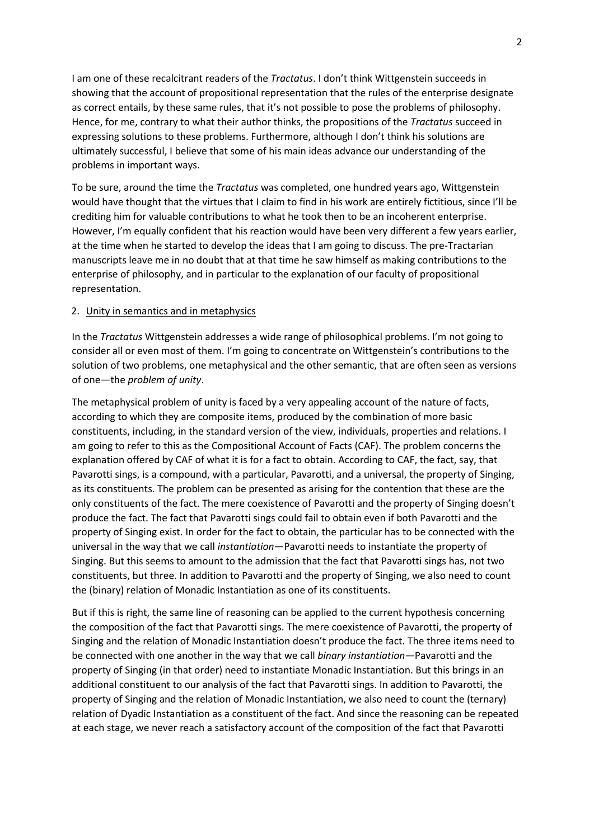I am one of these recalcitrant readers of the *Tractatus*. I don't think Wittgenstein succeeds in showing that the account of propositional representation that the rules of the enterprise designate as correct entails, by these same rules, that it's not possible to pose the problems of philosophy. Hence, for me, contrary to what their author thinks, the propositions of the *Tractatus* succeed in expressing solutions to these problems. Furthermore, although I don't think his solutions are ultimately successful, I believe that some of his main ideas advance our understanding of the problems in important ways.

To be sure, around the time the *Tractatus* was completed, one hundred years ago, Wittgenstein would have thought that the virtues that I claim to find in his work are entirely fictitious, since I'll be crediting him for valuable contributions to what he took then to be an incoherent enterprise. However, I'm equally confident that his reaction would have been very different a few years earlier, at the time when he started to develop the ideas that I am going to discuss. The pre-Tractarian manuscripts leave me in no doubt that at that time he saw himself as making contributions to the enterprise of philosophy, and in particular to the explanation of our faculty of propositional representation.

### 2. Unity in semantics and in metaphysics

In the *Tractatus* Wittgenstein addresses a wide range of philosophical problems. I'm not going to consider all or even most of them. I'm going to concentrate on Wittgenstein's contributions to the solution of two problems, one metaphysical and the other semantic, that are often seen as versions of one—the *problem of unity*.

The metaphysical problem of unity is faced by a very appealing account of the nature of facts, according to which they are composite items, produced by the combination of more basic constituents, including, in the standard version of the view, individuals, properties and relations. I am going to refer to this as the Compositional Account of Facts (CAF). The problem concerns the explanation offered by CAF of what it is for a fact to obtain. According to CAF, the fact, say, that Pavarotti sings, is a compound, with a particular, Pavarotti, and a universal, the property of Singing, as its constituents. The problem can be presented as arising for the contention that these are the only constituents of the fact. The mere coexistence of Pavarotti and the property of Singing doesn't produce the fact. The fact that Pavarotti sings could fail to obtain even if both Pavarotti and the property of Singing exist. In order for the fact to obtain, the particular has to be connected with the universal in the way that we call *instantiation*—Pavarotti needs to instantiate the property of Singing. But this seems to amount to the admission that the fact that Pavarotti sings has, not two constituents, but three. In addition to Pavarotti and the property of Singing, we also need to count the (binary) relation of Monadic Instantiation as one of its constituents.

But if this is right, the same line of reasoning can be applied to the current hypothesis concerning the composition of the fact that Pavarotti sings. The mere coexistence of Pavarotti, the property of Singing and the relation of Monadic Instantiation doesn't produce the fact. The three items need to be connected with one another in the way that we call *binary instantiation*—Pavarotti and the property of Singing (in that order) need to instantiate Monadic Instantiation. But this brings in an additional constituent to our analysis of the fact that Pavarotti sings. In addition to Pavarotti, the property of Singing and the relation of Monadic Instantiation, we also need to count the (ternary) relation of Dyadic Instantiation as a constituent of the fact. And since the reasoning can be repeated at each stage, we never reach a satisfactory account of the composition of the fact that Pavarotti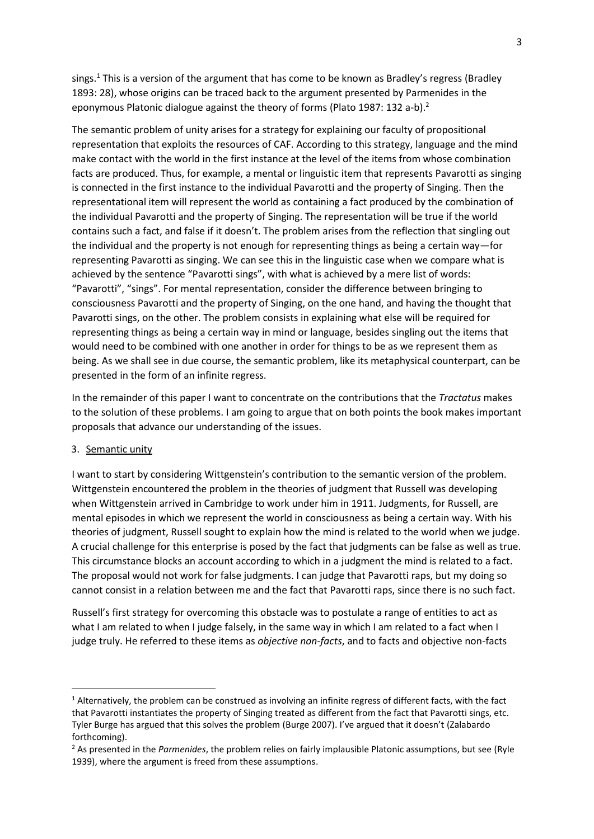sings. <sup>1</sup> This is a version of the argument that has come to be known as Bradley's regress (Bradley 1893: 28), whose origins can be traced back to the argument presented by Parmenides in the eponymous Platonic dialogue against the theory of forms (Plato 1987: 132 a-b).<sup>2</sup>

The semantic problem of unity arises for a strategy for explaining our faculty of propositional representation that exploits the resources of CAF. According to this strategy, language and the mind make contact with the world in the first instance at the level of the items from whose combination facts are produced. Thus, for example, a mental or linguistic item that represents Pavarotti as singing is connected in the first instance to the individual Pavarotti and the property of Singing. Then the representational item will represent the world as containing a fact produced by the combination of the individual Pavarotti and the property of Singing. The representation will be true if the world contains such a fact, and false if it doesn't. The problem arises from the reflection that singling out the individual and the property is not enough for representing things as being a certain way—for representing Pavarotti as singing. We can see this in the linguistic case when we compare what is achieved by the sentence "Pavarotti sings", with what is achieved by a mere list of words: "Pavarotti", "sings". For mental representation, consider the difference between bringing to consciousness Pavarotti and the property of Singing, on the one hand, and having the thought that Pavarotti sings, on the other. The problem consists in explaining what else will be required for representing things as being a certain way in mind or language, besides singling out the items that would need to be combined with one another in order for things to be as we represent them as being. As we shall see in due course, the semantic problem, like its metaphysical counterpart, can be presented in the form of an infinite regress.

In the remainder of this paper I want to concentrate on the contributions that the *Tractatus* makes to the solution of these problems. I am going to argue that on both points the book makes important proposals that advance our understanding of the issues.

#### 3. Semantic unity

**.** 

I want to start by considering Wittgenstein's contribution to the semantic version of the problem. Wittgenstein encountered the problem in the theories of judgment that Russell was developing when Wittgenstein arrived in Cambridge to work under him in 1911. Judgments, for Russell, are mental episodes in which we represent the world in consciousness as being a certain way. With his theories of judgment, Russell sought to explain how the mind is related to the world when we judge. A crucial challenge for this enterprise is posed by the fact that judgments can be false as well as true. This circumstance blocks an account according to which in a judgment the mind is related to a fact. The proposal would not work for false judgments. I can judge that Pavarotti raps, but my doing so cannot consist in a relation between me and the fact that Pavarotti raps, since there is no such fact.

Russell's first strategy for overcoming this obstacle was to postulate a range of entities to act as what I am related to when I judge falsely, in the same way in which I am related to a fact when I judge truly. He referred to these items as *objective non-facts*, and to facts and objective non-facts

 $1$  Alternatively, the problem can be construed as involving an infinite regress of different facts, with the fact that Pavarotti instantiates the property of Singing treated as different from the fact that Pavarotti sings, etc. Tyler Burge has argued that this solves the problem (Burge 2007). I've argued that it doesn't (Zalabardo forthcoming).

<sup>2</sup> As presented in the *Parmenides*, the problem relies on fairly implausible Platonic assumptions, but see (Ryle 1939), where the argument is freed from these assumptions.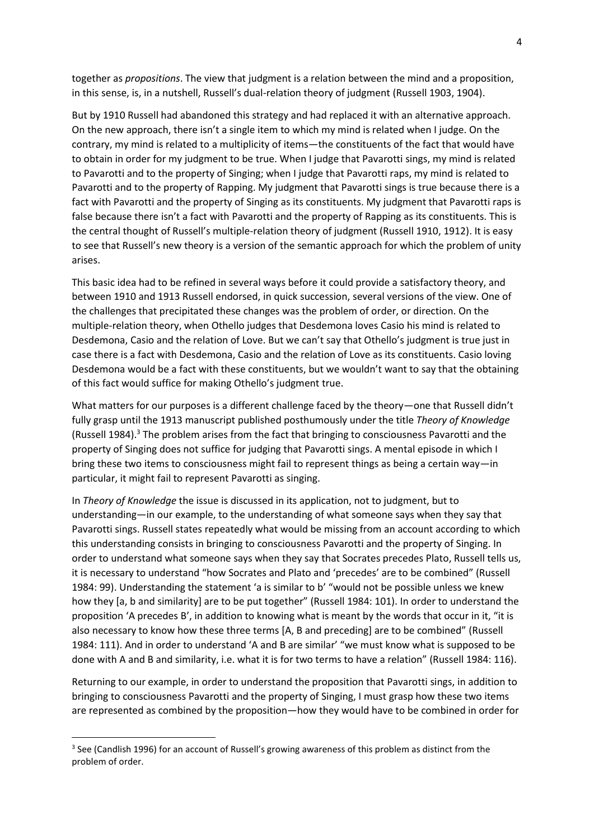together as *propositions*. The view that judgment is a relation between the mind and a proposition, in this sense, is, in a nutshell, Russell's dual-relation theory of judgment (Russell 1903, 1904).

But by 1910 Russell had abandoned this strategy and had replaced it with an alternative approach. On the new approach, there isn't a single item to which my mind is related when I judge. On the contrary, my mind is related to a multiplicity of items—the constituents of the fact that would have to obtain in order for my judgment to be true. When I judge that Pavarotti sings, my mind is related to Pavarotti and to the property of Singing; when I judge that Pavarotti raps, my mind is related to Pavarotti and to the property of Rapping. My judgment that Pavarotti sings is true because there is a fact with Pavarotti and the property of Singing as its constituents. My judgment that Pavarotti raps is false because there isn't a fact with Pavarotti and the property of Rapping as its constituents. This is the central thought of Russell's multiple-relation theory of judgment (Russell 1910, 1912). It is easy to see that Russell's new theory is a version of the semantic approach for which the problem of unity arises.

This basic idea had to be refined in several ways before it could provide a satisfactory theory, and between 1910 and 1913 Russell endorsed, in quick succession, several versions of the view. One of the challenges that precipitated these changes was the problem of order, or direction. On the multiple-relation theory, when Othello judges that Desdemona loves Casio his mind is related to Desdemona, Casio and the relation of Love. But we can't say that Othello's judgment is true just in case there is a fact with Desdemona, Casio and the relation of Love as its constituents. Casio loving Desdemona would be a fact with these constituents, but we wouldn't want to say that the obtaining of this fact would suffice for making Othello's judgment true.

What matters for our purposes is a different challenge faced by the theory—one that Russell didn't fully grasp until the 1913 manuscript published posthumously under the title *Theory of Knowledge* (Russell 1984). <sup>3</sup> The problem arises from the fact that bringing to consciousness Pavarotti and the property of Singing does not suffice for judging that Pavarotti sings. A mental episode in which I bring these two items to consciousness might fail to represent things as being a certain way—in particular, it might fail to represent Pavarotti as singing.

In *Theory of Knowledge* the issue is discussed in its application, not to judgment, but to understanding—in our example, to the understanding of what someone says when they say that Pavarotti sings. Russell states repeatedly what would be missing from an account according to which this understanding consists in bringing to consciousness Pavarotti and the property of Singing. In order to understand what someone says when they say that Socrates precedes Plato, Russell tells us, it is necessary to understand "how Socrates and Plato and 'precedes' are to be combined" (Russell 1984: 99). Understanding the statement 'a is similar to b' "would not be possible unless we knew how they [a, b and similarity] are to be put together" (Russell 1984: 101). In order to understand the proposition 'A precedes B', in addition to knowing what is meant by the words that occur in it, "it is also necessary to know how these three terms [A, B and preceding] are to be combined" (Russell 1984: 111). And in order to understand 'A and B are similar' "we must know what is supposed to be done with A and B and similarity, i.e. what it is for two terms to have a relation" (Russell 1984: 116).

Returning to our example, in order to understand the proposition that Pavarotti sings, in addition to bringing to consciousness Pavarotti and the property of Singing, I must grasp how these two items are represented as combined by the proposition—how they would have to be combined in order for

1

<sup>&</sup>lt;sup>3</sup> See (Candlish 1996) for an account of Russell's growing awareness of this problem as distinct from the problem of order.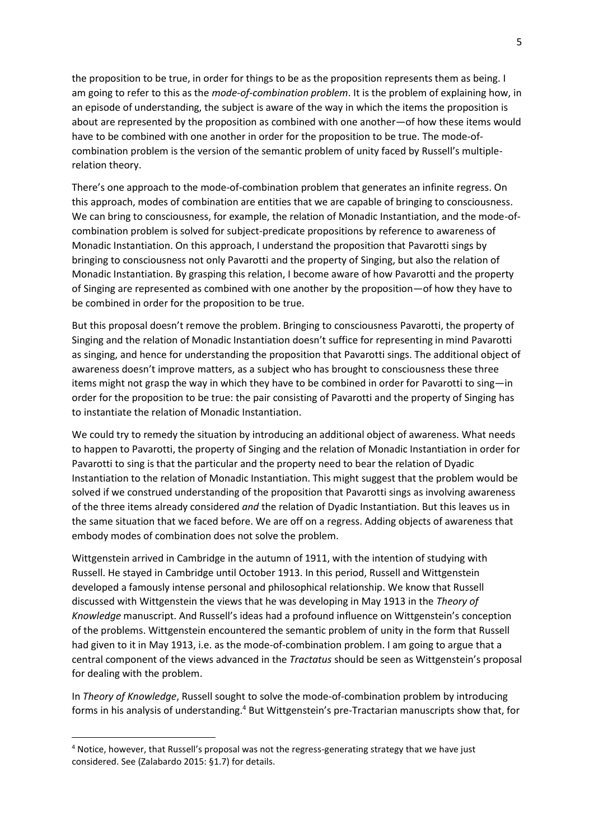the proposition to be true, in order for things to be as the proposition represents them as being. I am going to refer to this as the *mode-of-combination problem*. It is the problem of explaining how, in an episode of understanding, the subject is aware of the way in which the items the proposition is about are represented by the proposition as combined with one another—of how these items would have to be combined with one another in order for the proposition to be true. The mode-ofcombination problem is the version of the semantic problem of unity faced by Russell's multiplerelation theory.

There's one approach to the mode-of-combination problem that generates an infinite regress. On this approach, modes of combination are entities that we are capable of bringing to consciousness. We can bring to consciousness, for example, the relation of Monadic Instantiation, and the mode-ofcombination problem is solved for subject-predicate propositions by reference to awareness of Monadic Instantiation. On this approach, I understand the proposition that Pavarotti sings by bringing to consciousness not only Pavarotti and the property of Singing, but also the relation of Monadic Instantiation. By grasping this relation, I become aware of how Pavarotti and the property of Singing are represented as combined with one another by the proposition—of how they have to be combined in order for the proposition to be true.

But this proposal doesn't remove the problem. Bringing to consciousness Pavarotti, the property of Singing and the relation of Monadic Instantiation doesn't suffice for representing in mind Pavarotti as singing, and hence for understanding the proposition that Pavarotti sings. The additional object of awareness doesn't improve matters, as a subject who has brought to consciousness these three items might not grasp the way in which they have to be combined in order for Pavarotti to sing—in order for the proposition to be true: the pair consisting of Pavarotti and the property of Singing has to instantiate the relation of Monadic Instantiation.

We could try to remedy the situation by introducing an additional object of awareness. What needs to happen to Pavarotti, the property of Singing and the relation of Monadic Instantiation in order for Pavarotti to sing is that the particular and the property need to bear the relation of Dyadic Instantiation to the relation of Monadic Instantiation. This might suggest that the problem would be solved if we construed understanding of the proposition that Pavarotti sings as involving awareness of the three items already considered *and* the relation of Dyadic Instantiation. But this leaves us in the same situation that we faced before. We are off on a regress. Adding objects of awareness that embody modes of combination does not solve the problem.

Wittgenstein arrived in Cambridge in the autumn of 1911, with the intention of studying with Russell. He stayed in Cambridge until October 1913. In this period, Russell and Wittgenstein developed a famously intense personal and philosophical relationship. We know that Russell discussed with Wittgenstein the views that he was developing in May 1913 in the *Theory of Knowledge* manuscript. And Russell's ideas had a profound influence on Wittgenstein's conception of the problems. Wittgenstein encountered the semantic problem of unity in the form that Russell had given to it in May 1913, i.e. as the mode-of-combination problem. I am going to argue that a central component of the views advanced in the *Tractatus* should be seen as Wittgenstein's proposal for dealing with the problem.

In *Theory of Knowledge*, Russell sought to solve the mode-of-combination problem by introducing forms in his analysis of understanding.<sup>4</sup> But Wittgenstein's pre-Tractarian manuscripts show that, for

1

<sup>4</sup> Notice, however, that Russell's proposal was not the regress-generating strategy that we have just considered. See (Zalabardo 2015: §1.7) for details.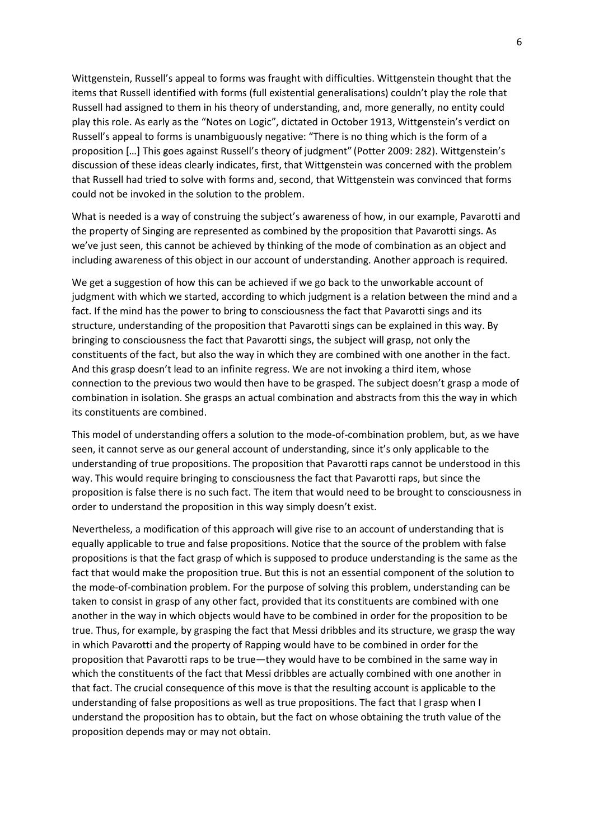Wittgenstein, Russell's appeal to forms was fraught with difficulties. Wittgenstein thought that the items that Russell identified with forms (full existential generalisations) couldn't play the role that Russell had assigned to them in his theory of understanding, and, more generally, no entity could play this role. As early as the "Notes on Logic", dictated in October 1913, Wittgenstein's verdict on Russell's appeal to forms is unambiguously negative: "There is no thing which is the form of a proposition […] This goes against Russell's theory of judgment" (Potter 2009: 282). Wittgenstein's discussion of these ideas clearly indicates, first, that Wittgenstein was concerned with the problem that Russell had tried to solve with forms and, second, that Wittgenstein was convinced that forms could not be invoked in the solution to the problem.

What is needed is a way of construing the subject's awareness of how, in our example, Pavarotti and the property of Singing are represented as combined by the proposition that Pavarotti sings. As we've just seen, this cannot be achieved by thinking of the mode of combination as an object and including awareness of this object in our account of understanding. Another approach is required.

We get a suggestion of how this can be achieved if we go back to the unworkable account of judgment with which we started, according to which judgment is a relation between the mind and a fact. If the mind has the power to bring to consciousness the fact that Pavarotti sings and its structure, understanding of the proposition that Pavarotti sings can be explained in this way. By bringing to consciousness the fact that Pavarotti sings, the subject will grasp, not only the constituents of the fact, but also the way in which they are combined with one another in the fact. And this grasp doesn't lead to an infinite regress. We are not invoking a third item, whose connection to the previous two would then have to be grasped. The subject doesn't grasp a mode of combination in isolation. She grasps an actual combination and abstracts from this the way in which its constituents are combined.

This model of understanding offers a solution to the mode-of-combination problem, but, as we have seen, it cannot serve as our general account of understanding, since it's only applicable to the understanding of true propositions. The proposition that Pavarotti raps cannot be understood in this way. This would require bringing to consciousness the fact that Pavarotti raps, but since the proposition is false there is no such fact. The item that would need to be brought to consciousness in order to understand the proposition in this way simply doesn't exist.

Nevertheless, a modification of this approach will give rise to an account of understanding that is equally applicable to true and false propositions. Notice that the source of the problem with false propositions is that the fact grasp of which is supposed to produce understanding is the same as the fact that would make the proposition true. But this is not an essential component of the solution to the mode-of-combination problem. For the purpose of solving this problem, understanding can be taken to consist in grasp of any other fact, provided that its constituents are combined with one another in the way in which objects would have to be combined in order for the proposition to be true. Thus, for example, by grasping the fact that Messi dribbles and its structure, we grasp the way in which Pavarotti and the property of Rapping would have to be combined in order for the proposition that Pavarotti raps to be true—they would have to be combined in the same way in which the constituents of the fact that Messi dribbles are actually combined with one another in that fact. The crucial consequence of this move is that the resulting account is applicable to the understanding of false propositions as well as true propositions. The fact that I grasp when I understand the proposition has to obtain, but the fact on whose obtaining the truth value of the proposition depends may or may not obtain.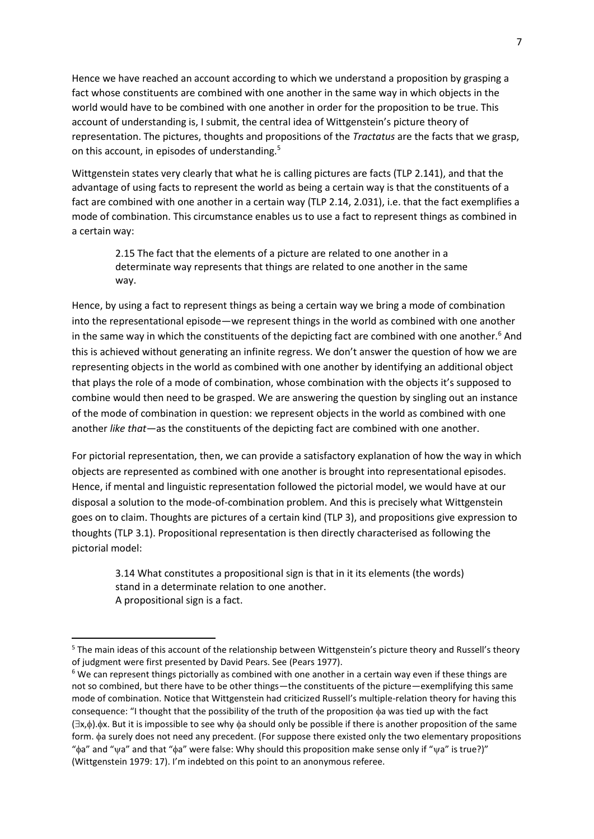Hence we have reached an account according to which we understand a proposition by grasping a fact whose constituents are combined with one another in the same way in which objects in the world would have to be combined with one another in order for the proposition to be true. This account of understanding is, I submit, the central idea of Wittgenstein's picture theory of representation. The pictures, thoughts and propositions of the *Tractatus* are the facts that we grasp, on this account, in episodes of understanding.<sup>5</sup>

Wittgenstein states very clearly that what he is calling pictures are facts (TLP 2.141), and that the advantage of using facts to represent the world as being a certain way is that the constituents of a fact are combined with one another in a certain way (TLP 2.14, 2.031), i.e. that the fact exemplifies a mode of combination. This circumstance enables us to use a fact to represent things as combined in a certain way:

2.15 The fact that the elements of a picture are related to one another in a determinate way represents that things are related to one another in the same way.

Hence, by using a fact to represent things as being a certain way we bring a mode of combination into the representational episode—we represent things in the world as combined with one another in the same way in which the constituents of the depicting fact are combined with one another.<sup>6</sup> And this is achieved without generating an infinite regress. We don't answer the question of how we are representing objects in the world as combined with one another by identifying an additional object that plays the role of a mode of combination, whose combination with the objects it's supposed to combine would then need to be grasped. We are answering the question by singling out an instance of the mode of combination in question: we represent objects in the world as combined with one another *like that*—as the constituents of the depicting fact are combined with one another.

For pictorial representation, then, we can provide a satisfactory explanation of how the way in which objects are represented as combined with one another is brought into representational episodes. Hence, if mental and linguistic representation followed the pictorial model, we would have at our disposal a solution to the mode-of-combination problem. And this is precisely what Wittgenstein goes on to claim. Thoughts are pictures of a certain kind (TLP 3), and propositions give expression to thoughts (TLP 3.1). Propositional representation is then directly characterised as following the pictorial model:

3.14 What constitutes a propositional sign is that in it its elements (the words) stand in a determinate relation to one another. A propositional sign is a fact.

1

<sup>5</sup> The main ideas of this account of the relationship between Wittgenstein's picture theory and Russell's theory of judgment were first presented by David Pears. See (Pears 1977).

 $6$  We can represent things pictorially as combined with one another in a certain way even if these things are not so combined, but there have to be other things—the constituents of the picture—exemplifying this same mode of combination. Notice that Wittgenstein had criticized Russell's multiple-relation theory for having this consequence: "I thought that the possibility of the truth of the proposition  $\phi$ a was tied up with the fact  $(\exists x, \phi)$ . $\phi$ x. But it is impossible to see why  $\phi$ a should only be possible if there is another proposition of the same form.  $\phi$ a surely does not need any precedent. (For suppose there existed only the two elementary propositions " $\phi$ a" and "ya" and that " $\phi$ a" were false: Why should this proposition make sense only if "ya" is true?)" (Wittgenstein 1979: 17). I'm indebted on this point to an anonymous referee.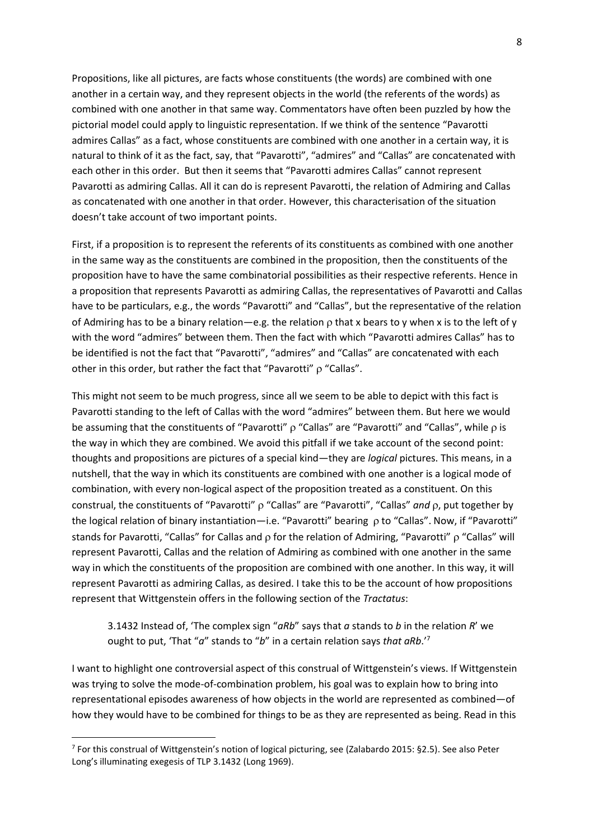Propositions, like all pictures, are facts whose constituents (the words) are combined with one another in a certain way, and they represent objects in the world (the referents of the words) as combined with one another in that same way. Commentators have often been puzzled by how the pictorial model could apply to linguistic representation. If we think of the sentence "Pavarotti admires Callas" as a fact, whose constituents are combined with one another in a certain way, it is natural to think of it as the fact, say, that "Pavarotti", "admires" and "Callas" are concatenated with each other in this order. But then it seems that "Pavarotti admires Callas" cannot represent Pavarotti as admiring Callas. All it can do is represent Pavarotti, the relation of Admiring and Callas as concatenated with one another in that order. However, this characterisation of the situation doesn't take account of two important points.

First, if a proposition is to represent the referents of its constituents as combined with one another in the same way as the constituents are combined in the proposition, then the constituents of the proposition have to have the same combinatorial possibilities as their respective referents. Hence in a proposition that represents Pavarotti as admiring Callas, the representatives of Pavarotti and Callas have to be particulars, e.g., the words "Pavarotti" and "Callas", but the representative of the relation of Admiring has to be a binary relation—e.g. the relation  $\rho$  that x bears to y when x is to the left of y with the word "admires" between them. Then the fact with which "Pavarotti admires Callas" has to be identified is not the fact that "Pavarotti", "admires" and "Callas" are concatenated with each other in this order, but rather the fact that "Pavarotti"  $\rho$  "Callas".

This might not seem to be much progress, since all we seem to be able to depict with this fact is Pavarotti standing to the left of Callas with the word "admires" between them. But here we would be assuming that the constituents of "Pavarotti"  $\rho$  "Callas" are "Pavarotti" and "Callas", while  $\rho$  is the way in which they are combined. We avoid this pitfall if we take account of the second point: thoughts and propositions are pictures of a special kind—they are *logical* pictures. This means, in a nutshell, that the way in which its constituents are combined with one another is a logical mode of combination, with every non-logical aspect of the proposition treated as a constituent. On this construal, the constituents of "Pavarotti"  $\rho$  "Callas" are "Pavarotti", "Callas" *and*  $\rho$ , put together by the logical relation of binary instantiation—i.e. "Pavarotti" bearing  $\rho$  to "Callas". Now, if "Pavarotti" stands for Pavarotti, "Callas" for Callas and  $\rho$  for the relation of Admiring, "Pavarotti"  $\rho$  "Callas" will represent Pavarotti, Callas and the relation of Admiring as combined with one another in the same way in which the constituents of the proposition are combined with one another. In this way, it will represent Pavarotti as admiring Callas, as desired. I take this to be the account of how propositions represent that Wittgenstein offers in the following section of the *Tractatus*:

3.1432 Instead of, 'The complex sign "*aRb*" says that *a* stands to *b* in the relation *R*' we ought to put, 'That "*a*" stands to "*b*" in a certain relation says *that aRb*.' 7

I want to highlight one controversial aspect of this construal of Wittgenstein's views. If Wittgenstein was trying to solve the mode-of-combination problem, his goal was to explain how to bring into representational episodes awareness of how objects in the world are represented as combined—of how they would have to be combined for things to be as they are represented as being. Read in this

1

<sup>7</sup> For this construal of Wittgenstein's notion of logical picturing, see (Zalabardo 2015: §2.5). See also Peter Long's illuminating exegesis of TLP 3.1432 (Long 1969).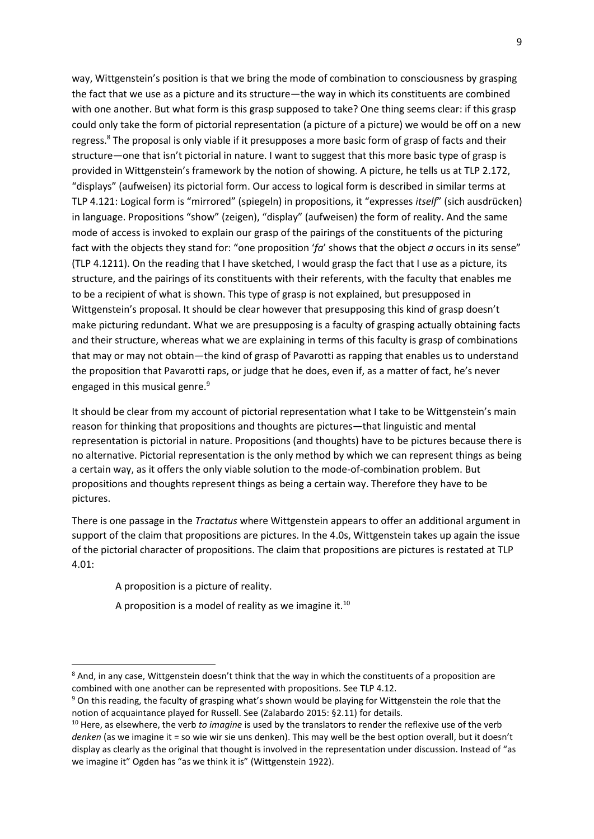way, Wittgenstein's position is that we bring the mode of combination to consciousness by grasping the fact that we use as a picture and its structure—the way in which its constituents are combined with one another. But what form is this grasp supposed to take? One thing seems clear: if this grasp could only take the form of pictorial representation (a picture of a picture) we would be off on a new regress.<sup>8</sup> The proposal is only viable if it presupposes a more basic form of grasp of facts and their structure—one that isn't pictorial in nature. I want to suggest that this more basic type of grasp is provided in Wittgenstein's framework by the notion of showing. A picture, he tells us at TLP 2.172, "displays" (aufweisen) its pictorial form. Our access to logical form is described in similar terms at TLP 4.121: Logical form is "mirrored" (spiegeln) in propositions, it "expresses *itself*" (sich ausdrücken) in language. Propositions "show" (zeigen), "display" (aufweisen) the form of reality. And the same mode of access is invoked to explain our grasp of the pairings of the constituents of the picturing fact with the objects they stand for: "one proposition '*fa*' shows that the object *a* occurs in its sense" (TLP 4.1211). On the reading that I have sketched, I would grasp the fact that I use as a picture, its structure, and the pairings of its constituents with their referents, with the faculty that enables me to be a recipient of what is shown. This type of grasp is not explained, but presupposed in Wittgenstein's proposal. It should be clear however that presupposing this kind of grasp doesn't make picturing redundant. What we are presupposing is a faculty of grasping actually obtaining facts and their structure, whereas what we are explaining in terms of this faculty is grasp of combinations that may or may not obtain—the kind of grasp of Pavarotti as rapping that enables us to understand the proposition that Pavarotti raps, or judge that he does, even if, as a matter of fact, he's never engaged in this musical genre.<sup>9</sup>

It should be clear from my account of pictorial representation what I take to be Wittgenstein's main reason for thinking that propositions and thoughts are pictures—that linguistic and mental representation is pictorial in nature. Propositions (and thoughts) have to be pictures because there is no alternative. Pictorial representation is the only method by which we can represent things as being a certain way, as it offers the only viable solution to the mode-of-combination problem. But propositions and thoughts represent things as being a certain way. Therefore they have to be pictures.

There is one passage in the *Tractatus* where Wittgenstein appears to offer an additional argument in support of the claim that propositions are pictures. In the 4.0s, Wittgenstein takes up again the issue of the pictorial character of propositions. The claim that propositions are pictures is restated at TLP 4.01:

A proposition is a picture of reality.

1

A proposition is a model of reality as we imagine it.<sup>10</sup>

<sup>&</sup>lt;sup>8</sup> And, in any case, Wittgenstein doesn't think that the way in which the constituents of a proposition are combined with one another can be represented with propositions. See TLP 4.12.

<sup>&</sup>lt;sup>9</sup> On this reading, the faculty of grasping what's shown would be playing for Wittgenstein the role that the notion of acquaintance played for Russell. See (Zalabardo 2015: §2.11) for details.

<sup>&</sup>lt;sup>10</sup> Here, as elsewhere, the verb to imagine is used by the translators to render the reflexive use of the verb *denken* (as we imagine it = so wie wir sie uns denken). This may well be the best option overall, but it doesn't display as clearly as the original that thought is involved in the representation under discussion. Instead of "as we imagine it" Ogden has "as we think it is" (Wittgenstein 1922).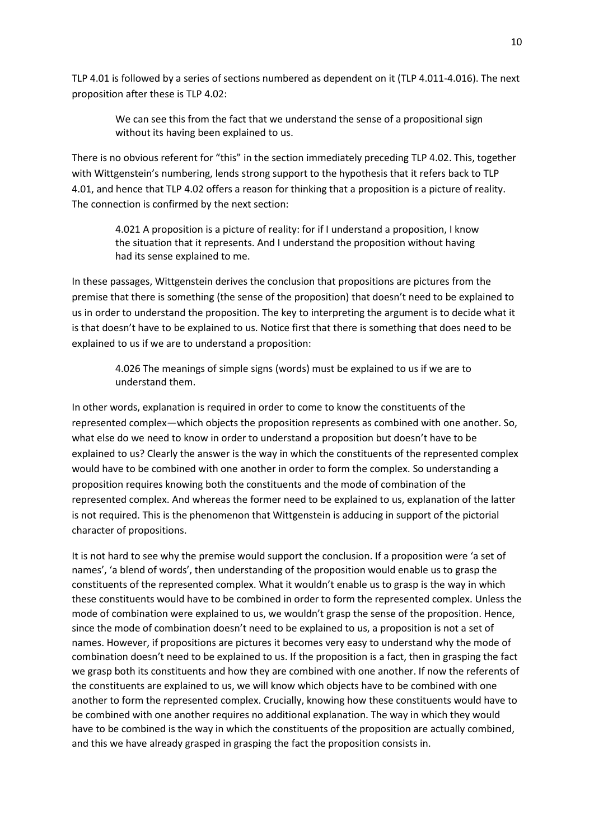TLP 4.01 is followed by a series of sections numbered as dependent on it (TLP 4.011-4.016). The next proposition after these is TLP 4.02:

We can see this from the fact that we understand the sense of a propositional sign without its having been explained to us.

There is no obvious referent for "this" in the section immediately preceding TLP 4.02. This, together with Wittgenstein's numbering, lends strong support to the hypothesis that it refers back to TLP 4.01, and hence that TLP 4.02 offers a reason for thinking that a proposition is a picture of reality. The connection is confirmed by the next section:

4.021 A proposition is a picture of reality: for if I understand a proposition, I know the situation that it represents. And I understand the proposition without having had its sense explained to me.

In these passages, Wittgenstein derives the conclusion that propositions are pictures from the premise that there is something (the sense of the proposition) that doesn't need to be explained to us in order to understand the proposition. The key to interpreting the argument is to decide what it is that doesn't have to be explained to us. Notice first that there is something that does need to be explained to us if we are to understand a proposition:

4.026 The meanings of simple signs (words) must be explained to us if we are to understand them.

In other words, explanation is required in order to come to know the constituents of the represented complex—which objects the proposition represents as combined with one another. So, what else do we need to know in order to understand a proposition but doesn't have to be explained to us? Clearly the answer is the way in which the constituents of the represented complex would have to be combined with one another in order to form the complex. So understanding a proposition requires knowing both the constituents and the mode of combination of the represented complex. And whereas the former need to be explained to us, explanation of the latter is not required. This is the phenomenon that Wittgenstein is adducing in support of the pictorial character of propositions.

It is not hard to see why the premise would support the conclusion. If a proposition were 'a set of names', 'a blend of words', then understanding of the proposition would enable us to grasp the constituents of the represented complex. What it wouldn't enable us to grasp is the way in which these constituents would have to be combined in order to form the represented complex. Unless the mode of combination were explained to us, we wouldn't grasp the sense of the proposition. Hence, since the mode of combination doesn't need to be explained to us, a proposition is not a set of names. However, if propositions are pictures it becomes very easy to understand why the mode of combination doesn't need to be explained to us. If the proposition is a fact, then in grasping the fact we grasp both its constituents and how they are combined with one another. If now the referents of the constituents are explained to us, we will know which objects have to be combined with one another to form the represented complex. Crucially, knowing how these constituents would have to be combined with one another requires no additional explanation. The way in which they would have to be combined is the way in which the constituents of the proposition are actually combined, and this we have already grasped in grasping the fact the proposition consists in.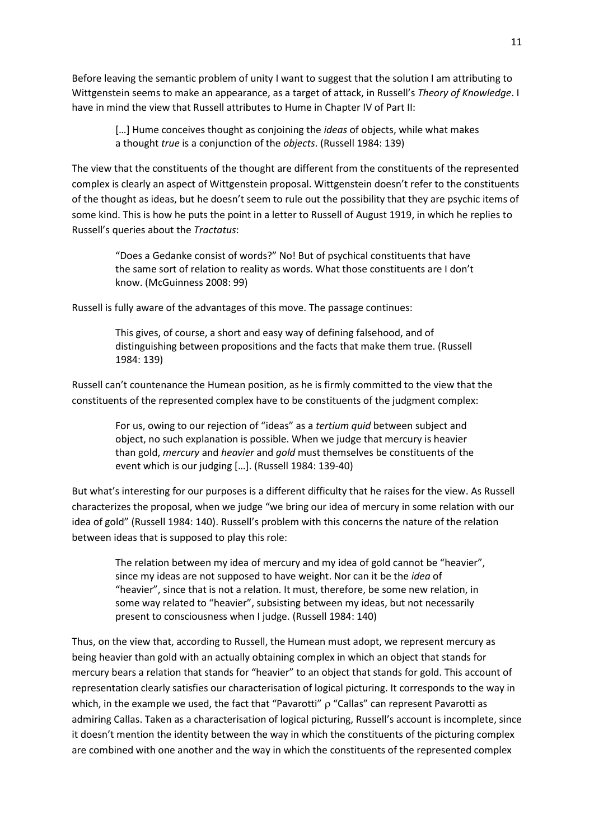Before leaving the semantic problem of unity I want to suggest that the solution I am attributing to Wittgenstein seems to make an appearance, as a target of attack, in Russell's *Theory of Knowledge*. I have in mind the view that Russell attributes to Hume in Chapter IV of Part II:

[…] Hume conceives thought as conjoining the *ideas* of objects, while what makes a thought *true* is a conjunction of the *objects*. (Russell 1984: 139)

The view that the constituents of the thought are different from the constituents of the represented complex is clearly an aspect of Wittgenstein proposal. Wittgenstein doesn't refer to the constituents of the thought as ideas, but he doesn't seem to rule out the possibility that they are psychic items of some kind. This is how he puts the point in a letter to Russell of August 1919, in which he replies to Russell's queries about the *Tractatus*:

"Does a Gedanke consist of words?" No! But of psychical constituents that have the same sort of relation to reality as words. What those constituents are I don't know. (McGuinness 2008: 99)

Russell is fully aware of the advantages of this move. The passage continues:

This gives, of course, a short and easy way of defining falsehood, and of distinguishing between propositions and the facts that make them true. (Russell 1984: 139)

Russell can't countenance the Humean position, as he is firmly committed to the view that the constituents of the represented complex have to be constituents of the judgment complex:

> For us, owing to our rejection of "ideas" as a *tertium quid* between subject and object, no such explanation is possible. When we judge that mercury is heavier than gold, *mercury* and *heavier* and *gold* must themselves be constituents of the event which is our judging […]. (Russell 1984: 139-40)

But what's interesting for our purposes is a different difficulty that he raises for the view. As Russell characterizes the proposal, when we judge "we bring our idea of mercury in some relation with our idea of gold" (Russell 1984: 140). Russell's problem with this concerns the nature of the relation between ideas that is supposed to play this role:

The relation between my idea of mercury and my idea of gold cannot be "heavier", since my ideas are not supposed to have weight. Nor can it be the *idea* of "heavier", since that is not a relation. It must, therefore, be some new relation, in some way related to "heavier", subsisting between my ideas, but not necessarily present to consciousness when I judge. (Russell 1984: 140)

Thus, on the view that, according to Russell, the Humean must adopt, we represent mercury as being heavier than gold with an actually obtaining complex in which an object that stands for mercury bears a relation that stands for "heavier" to an object that stands for gold. This account of representation clearly satisfies our characterisation of logical picturing. It corresponds to the way in which, in the example we used, the fact that "Pavarotti"  $\rho$  "Callas" can represent Pavarotti as admiring Callas. Taken as a characterisation of logical picturing, Russell's account is incomplete, since it doesn't mention the identity between the way in which the constituents of the picturing complex are combined with one another and the way in which the constituents of the represented complex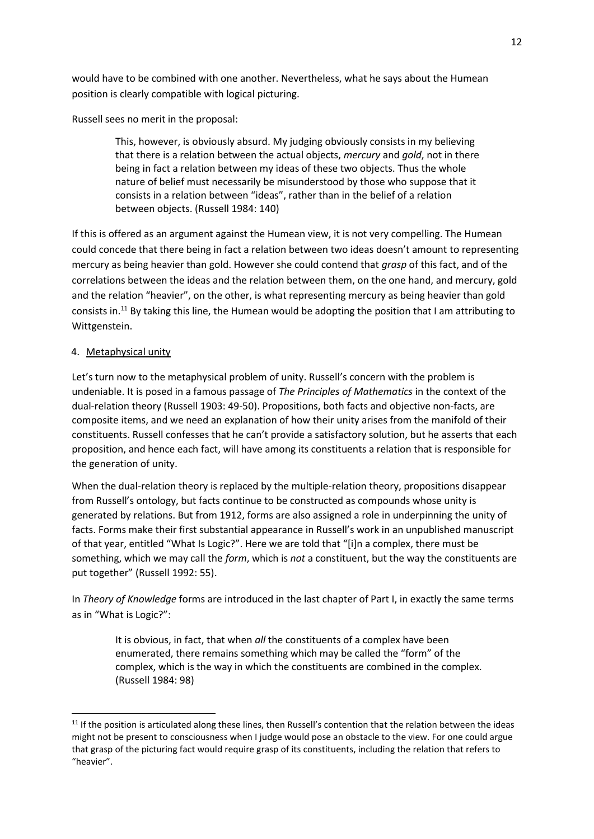would have to be combined with one another. Nevertheless, what he says about the Humean position is clearly compatible with logical picturing.

Russell sees no merit in the proposal:

This, however, is obviously absurd. My judging obviously consists in my believing that there is a relation between the actual objects, *mercury* and *gold*, not in there being in fact a relation between my ideas of these two objects. Thus the whole nature of belief must necessarily be misunderstood by those who suppose that it consists in a relation between "ideas", rather than in the belief of a relation between objects. (Russell 1984: 140)

If this is offered as an argument against the Humean view, it is not very compelling. The Humean could concede that there being in fact a relation between two ideas doesn't amount to representing mercury as being heavier than gold. However she could contend that *grasp* of this fact, and of the correlations between the ideas and the relation between them, on the one hand, and mercury, gold and the relation "heavier", on the other, is what representing mercury as being heavier than gold consists in.<sup>11</sup> By taking this line, the Humean would be adopting the position that I am attributing to Wittgenstein.

# 4. Metaphysical unity

1

Let's turn now to the metaphysical problem of unity. Russell's concern with the problem is undeniable. It is posed in a famous passage of *The Principles of Mathematics* in the context of the dual-relation theory (Russell 1903: 49-50). Propositions, both facts and objective non-facts, are composite items, and we need an explanation of how their unity arises from the manifold of their constituents. Russell confesses that he can't provide a satisfactory solution, but he asserts that each proposition, and hence each fact, will have among its constituents a relation that is responsible for the generation of unity.

When the dual-relation theory is replaced by the multiple-relation theory, propositions disappear from Russell's ontology, but facts continue to be constructed as compounds whose unity is generated by relations. But from 1912, forms are also assigned a role in underpinning the unity of facts. Forms make their first substantial appearance in Russell's work in an unpublished manuscript of that year, entitled "What Is Logic?". Here we are told that "[i]n a complex, there must be something, which we may call the *form*, which is *not* a constituent, but the way the constituents are put together" (Russell 1992: 55).

In *Theory of Knowledge* forms are introduced in the last chapter of Part I, in exactly the same terms as in "What is Logic?":

It is obvious, in fact, that when *all* the constituents of a complex have been enumerated, there remains something which may be called the "form" of the complex, which is the way in which the constituents are combined in the complex. (Russell 1984: 98)

 $11$  If the position is articulated along these lines, then Russell's contention that the relation between the ideas might not be present to consciousness when I judge would pose an obstacle to the view. For one could argue that grasp of the picturing fact would require grasp of its constituents, including the relation that refers to "heavier".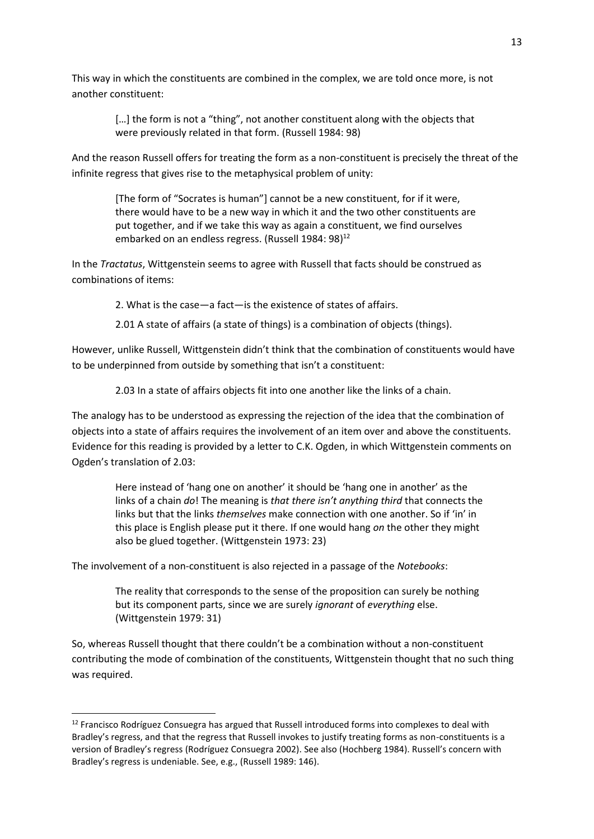This way in which the constituents are combined in the complex, we are told once more, is not another constituent:

> [...] the form is not a "thing", not another constituent along with the objects that were previously related in that form. (Russell 1984: 98)

And the reason Russell offers for treating the form as a non-constituent is precisely the threat of the infinite regress that gives rise to the metaphysical problem of unity:

[The form of "Socrates is human"] cannot be a new constituent, for if it were, there would have to be a new way in which it and the two other constituents are put together, and if we take this way as again a constituent, we find ourselves embarked on an endless regress. (Russell 1984: 98)<sup>12</sup>

In the *Tractatus*, Wittgenstein seems to agree with Russell that facts should be construed as combinations of items:

2. What is the case—a fact—is the existence of states of affairs.

2.01 A state of affairs (a state of things) is a combination of objects (things).

However, unlike Russell, Wittgenstein didn't think that the combination of constituents would have to be underpinned from outside by something that isn't a constituent:

2.03 In a state of affairs objects fit into one another like the links of a chain.

The analogy has to be understood as expressing the rejection of the idea that the combination of objects into a state of affairs requires the involvement of an item over and above the constituents. Evidence for this reading is provided by a letter to C.K. Ogden, in which Wittgenstein comments on Ogden's translation of 2.03:

Here instead of 'hang one on another' it should be 'hang one in another' as the links of a chain *do*! The meaning is *that there isn't anything third* that connects the links but that the links *themselves* make connection with one another. So if 'in' in this place is English please put it there. If one would hang *on* the other they might also be glued together. (Wittgenstein 1973: 23)

The involvement of a non-constituent is also rejected in a passage of the *Notebooks*:

1

The reality that corresponds to the sense of the proposition can surely be nothing but its component parts, since we are surely *ignorant* of *everything* else. (Wittgenstein 1979: 31)

So, whereas Russell thought that there couldn't be a combination without a non-constituent contributing the mode of combination of the constituents, Wittgenstein thought that no such thing was required.

<sup>&</sup>lt;sup>12</sup> Francisco Rodríguez Consuegra has argued that Russell introduced forms into complexes to deal with Bradley's regress, and that the regress that Russell invokes to justify treating forms as non-constituents is a version of Bradley's regress (Rodríguez Consuegra 2002). See also (Hochberg 1984). Russell's concern with Bradley's regress is undeniable. See, e.g., (Russell 1989: 146).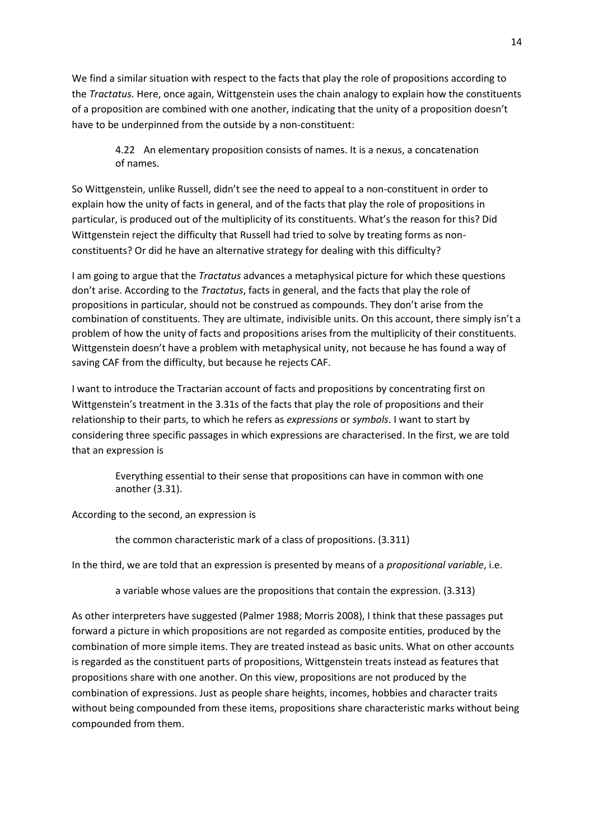We find a similar situation with respect to the facts that play the role of propositions according to the *Tractatus*. Here, once again, Wittgenstein uses the chain analogy to explain how the constituents of a proposition are combined with one another, indicating that the unity of a proposition doesn't have to be underpinned from the outside by a non-constituent:

4.22 An elementary proposition consists of names. It is a nexus, a concatenation of names.

So Wittgenstein, unlike Russell, didn't see the need to appeal to a non-constituent in order to explain how the unity of facts in general, and of the facts that play the role of propositions in particular, is produced out of the multiplicity of its constituents. What's the reason for this? Did Wittgenstein reject the difficulty that Russell had tried to solve by treating forms as nonconstituents? Or did he have an alternative strategy for dealing with this difficulty?

I am going to argue that the *Tractatus* advances a metaphysical picture for which these questions don't arise. According to the *Tractatus*, facts in general, and the facts that play the role of propositions in particular, should not be construed as compounds. They don't arise from the combination of constituents. They are ultimate, indivisible units. On this account, there simply isn't a problem of how the unity of facts and propositions arises from the multiplicity of their constituents. Wittgenstein doesn't have a problem with metaphysical unity, not because he has found a way of saving CAF from the difficulty, but because he rejects CAF.

I want to introduce the Tractarian account of facts and propositions by concentrating first on Wittgenstein's treatment in the 3.31s of the facts that play the role of propositions and their relationship to their parts, to which he refers as *expressions* or *symbols*. I want to start by considering three specific passages in which expressions are characterised. In the first, we are told that an expression is

Everything essential to their sense that propositions can have in common with one another (3.31).

According to the second, an expression is

the common characteristic mark of a class of propositions. (3.311)

In the third, we are told that an expression is presented by means of a *propositional variable*, i.e.

a variable whose values are the propositions that contain the expression. (3.313)

As other interpreters have suggested (Palmer 1988; Morris 2008), I think that these passages put forward a picture in which propositions are not regarded as composite entities, produced by the combination of more simple items. They are treated instead as basic units. What on other accounts is regarded as the constituent parts of propositions, Wittgenstein treats instead as features that propositions share with one another. On this view, propositions are not produced by the combination of expressions. Just as people share heights, incomes, hobbies and character traits without being compounded from these items, propositions share characteristic marks without being compounded from them.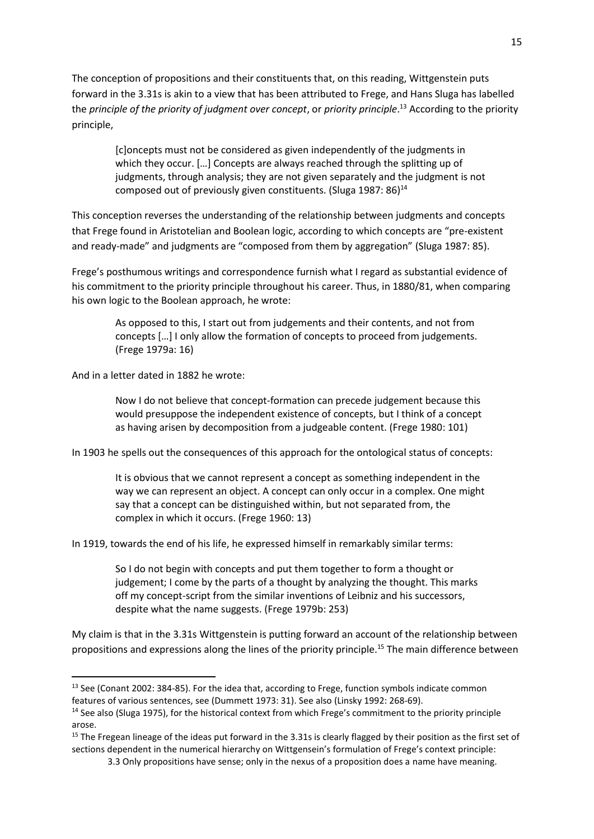The conception of propositions and their constituents that, on this reading, Wittgenstein puts forward in the 3.31s is akin to a view that has been attributed to Frege, and Hans Sluga has labelled the *principle of the priority of judgment over concept*, or *priority principle*. <sup>13</sup> According to the priority principle,

[c]oncepts must not be considered as given independently of the judgments in which they occur. […] Concepts are always reached through the splitting up of judgments, through analysis; they are not given separately and the judgment is not composed out of previously given constituents. (Sluga 1987: 86) $^{14}$ 

This conception reverses the understanding of the relationship between judgments and concepts that Frege found in Aristotelian and Boolean logic, according to which concepts are "pre-existent and ready-made" and judgments are "composed from them by aggregation" (Sluga 1987: 85).

Frege's posthumous writings and correspondence furnish what I regard as substantial evidence of his commitment to the priority principle throughout his career. Thus, in 1880/81, when comparing his own logic to the Boolean approach, he wrote:

As opposed to this, I start out from judgements and their contents, and not from concepts […] I only allow the formation of concepts to proceed from judgements. (Frege 1979a: 16)

And in a letter dated in 1882 he wrote:

**.** 

Now I do not believe that concept-formation can precede judgement because this would presuppose the independent existence of concepts, but I think of a concept as having arisen by decomposition from a judgeable content. (Frege 1980: 101)

In 1903 he spells out the consequences of this approach for the ontological status of concepts:

It is obvious that we cannot represent a concept as something independent in the way we can represent an object. A concept can only occur in a complex. One might say that a concept can be distinguished within, but not separated from, the complex in which it occurs. (Frege 1960: 13)

In 1919, towards the end of his life, he expressed himself in remarkably similar terms:

So I do not begin with concepts and put them together to form a thought or judgement; I come by the parts of a thought by analyzing the thought. This marks off my concept-script from the similar inventions of Leibniz and his successors, despite what the name suggests. (Frege 1979b: 253)

My claim is that in the 3.31s Wittgenstein is putting forward an account of the relationship between propositions and expressions along the lines of the priority principle.<sup>15</sup> The main difference between

<sup>&</sup>lt;sup>13</sup> See (Conant 2002: 384-85). For the idea that, according to Frege, function symbols indicate common features of various sentences, see (Dummett 1973: 31). See also (Linsky 1992: 268-69).

<sup>&</sup>lt;sup>14</sup> See also (Sluga 1975), for the historical context from which Frege's commitment to the priority principle arose.

 $15$  The Fregean lineage of the ideas put forward in the 3.31s is clearly flagged by their position as the first set of sections dependent in the numerical hierarchy on Wittgensein's formulation of Frege's context principle:

<sup>3.3</sup> Only propositions have sense; only in the nexus of a proposition does a name have meaning.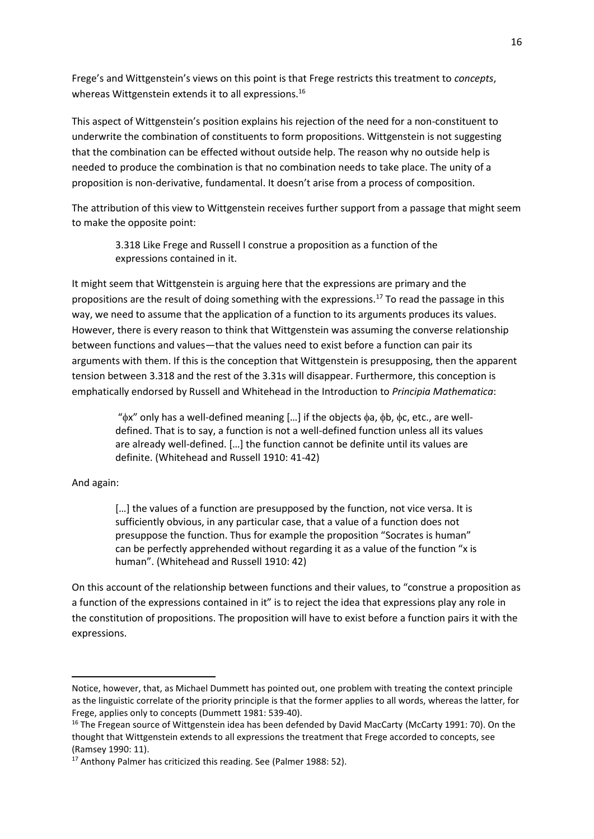Frege's and Wittgenstein's views on this point is that Frege restricts this treatment to *concepts*, whereas Wittgenstein extends it to all expressions.<sup>16</sup>

This aspect of Wittgenstein's position explains his rejection of the need for a non-constituent to underwrite the combination of constituents to form propositions. Wittgenstein is not suggesting that the combination can be effected without outside help. The reason why no outside help is needed to produce the combination is that no combination needs to take place. The unity of a proposition is non-derivative, fundamental. It doesn't arise from a process of composition.

The attribution of this view to Wittgenstein receives further support from a passage that might seem to make the opposite point:

3.318 Like Frege and Russell I construe a proposition as a function of the expressions contained in it.

It might seem that Wittgenstein is arguing here that the expressions are primary and the propositions are the result of doing something with the expressions.<sup>17</sup> To read the passage in this way, we need to assume that the application of a function to its arguments produces its values. However, there is every reason to think that Wittgenstein was assuming the converse relationship between functions and values—that the values need to exist before a function can pair its arguments with them. If this is the conception that Wittgenstein is presupposing, then the apparent tension between 3.318 and the rest of the 3.31s will disappear. Furthermore, this conception is emphatically endorsed by Russell and Whitehead in the Introduction to *Principia Mathematica*:

" $\phi$ x" only has a well-defined meaning [...] if the objects  $\phi$ a,  $\phi$ b,  $\phi$ c, etc., are welldefined. That is to say, a function is not a well-defined function unless all its values are already well-defined. […] the function cannot be definite until its values are definite. (Whitehead and Russell 1910: 41-42)

#### And again:

**.** 

[...] the values of a function are presupposed by the function, not vice versa. It is sufficiently obvious, in any particular case, that a value of a function does not presuppose the function. Thus for example the proposition "Socrates is human" can be perfectly apprehended without regarding it as a value of the function "x is human". (Whitehead and Russell 1910: 42)

On this account of the relationship between functions and their values, to "construe a proposition as a function of the expressions contained in it" is to reject the idea that expressions play any role in the constitution of propositions. The proposition will have to exist before a function pairs it with the expressions.

Notice, however, that, as Michael Dummett has pointed out, one problem with treating the context principle as the linguistic correlate of the priority principle is that the former applies to all words, whereas the latter, for Frege, applies only to concepts (Dummett 1981: 539-40).

<sup>&</sup>lt;sup>16</sup> The Fregean source of Wittgenstein idea has been defended by David MacCarty (McCarty 1991: 70). On the thought that Wittgenstein extends to all expressions the treatment that Frege accorded to concepts, see (Ramsey 1990: 11).

<sup>&</sup>lt;sup>17</sup> Anthony Palmer has criticized this reading. See (Palmer 1988: 52).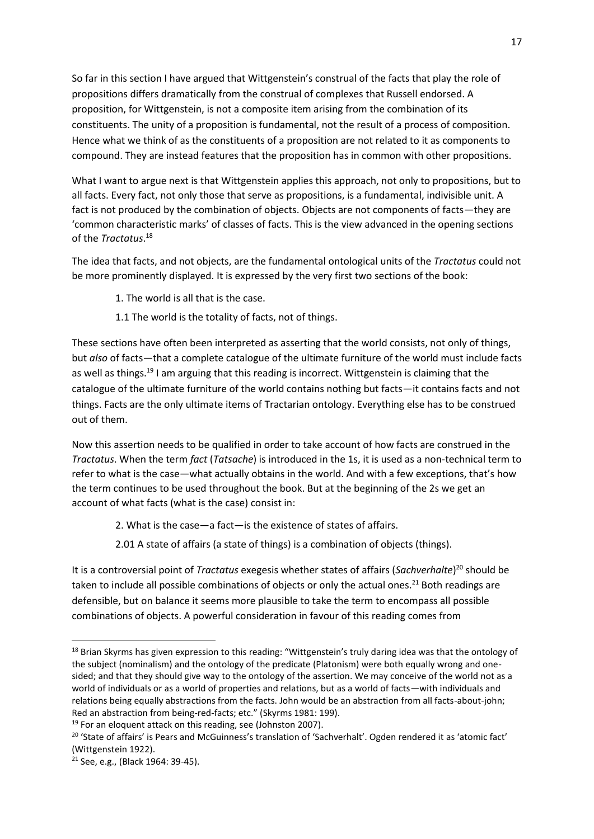So far in this section I have argued that Wittgenstein's construal of the facts that play the role of propositions differs dramatically from the construal of complexes that Russell endorsed. A proposition, for Wittgenstein, is not a composite item arising from the combination of its constituents. The unity of a proposition is fundamental, not the result of a process of composition. Hence what we think of as the constituents of a proposition are not related to it as components to compound. They are instead features that the proposition has in common with other propositions.

What I want to argue next is that Wittgenstein applies this approach, not only to propositions, but to all facts. Every fact, not only those that serve as propositions, is a fundamental, indivisible unit. A fact is not produced by the combination of objects. Objects are not components of facts—they are 'common characteristic marks' of classes of facts. This is the view advanced in the opening sections of the *Tractatus*. 18

The idea that facts, and not objects, are the fundamental ontological units of the *Tractatus* could not be more prominently displayed. It is expressed by the very first two sections of the book:

1. The world is all that is the case.

1.1 The world is the totality of facts, not of things.

These sections have often been interpreted as asserting that the world consists, not only of things, but *also* of facts—that a complete catalogue of the ultimate furniture of the world must include facts as well as things.<sup>19</sup> I am arguing that this reading is incorrect. Wittgenstein is claiming that the catalogue of the ultimate furniture of the world contains nothing but facts—it contains facts and not things. Facts are the only ultimate items of Tractarian ontology. Everything else has to be construed out of them.

Now this assertion needs to be qualified in order to take account of how facts are construed in the *Tractatus*. When the term *fact* (*Tatsache*) is introduced in the 1s, it is used as a non-technical term to refer to what is the case—what actually obtains in the world. And with a few exceptions, that's how the term continues to be used throughout the book. But at the beginning of the 2s we get an account of what facts (what is the case) consist in:

2. What is the case—a fact—is the existence of states of affairs.

2.01 A state of affairs (a state of things) is a combination of objects (things).

It is a controversial point of *Tractatus* exegesis whether states of affairs (*Sachverhalte*) <sup>20</sup> should be taken to include all possible combinations of objects or only the actual ones.<sup>21</sup> Both readings are defensible, but on balance it seems more plausible to take the term to encompass all possible combinations of objects. A powerful consideration in favour of this reading comes from

**.** 

<sup>&</sup>lt;sup>18</sup> Brian Skyrms has given expression to this reading: "Wittgenstein's truly daring idea was that the ontology of the subject (nominalism) and the ontology of the predicate (Platonism) were both equally wrong and onesided; and that they should give way to the ontology of the assertion. We may conceive of the world not as a world of individuals or as a world of properties and relations, but as a world of facts—with individuals and relations being equally abstractions from the facts. John would be an abstraction from all facts-about-john; Red an abstraction from being-red-facts; etc." (Skyrms 1981: 199).

 $19$  For an eloquent attack on this reading, see (Johnston 2007).

<sup>&</sup>lt;sup>20</sup> 'State of affairs' is Pears and McGuinness's translation of 'Sachverhalt'. Ogden rendered it as 'atomic fact' (Wittgenstein 1922).

<sup>21</sup> See, e.g., (Black 1964: 39-45).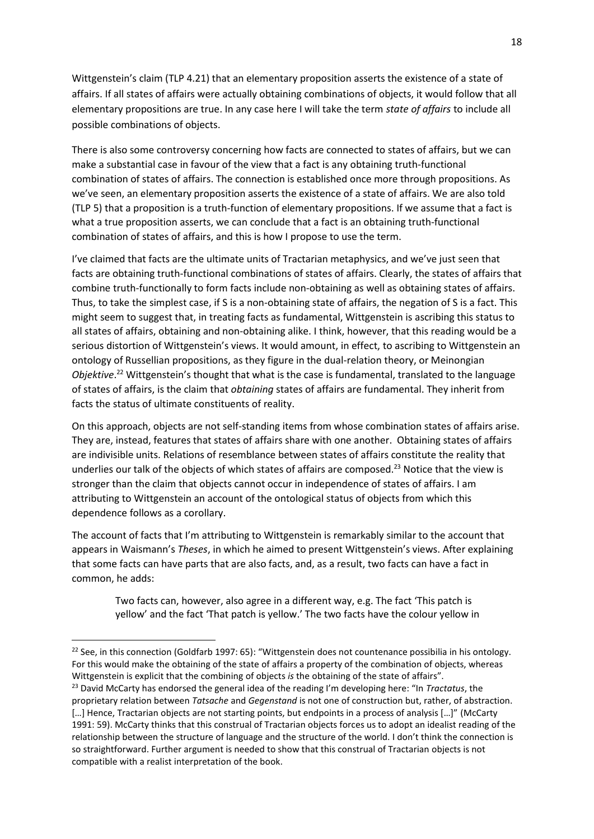Wittgenstein's claim (TLP 4.21) that an elementary proposition asserts the existence of a state of affairs. If all states of affairs were actually obtaining combinations of objects, it would follow that all elementary propositions are true. In any case here I will take the term *state of affairs* to include all possible combinations of objects.

There is also some controversy concerning how facts are connected to states of affairs, but we can make a substantial case in favour of the view that a fact is any obtaining truth-functional combination of states of affairs. The connection is established once more through propositions. As we've seen, an elementary proposition asserts the existence of a state of affairs. We are also told (TLP 5) that a proposition is a truth-function of elementary propositions. If we assume that a fact is what a true proposition asserts, we can conclude that a fact is an obtaining truth-functional combination of states of affairs, and this is how I propose to use the term.

I've claimed that facts are the ultimate units of Tractarian metaphysics, and we've just seen that facts are obtaining truth-functional combinations of states of affairs. Clearly, the states of affairs that combine truth-functionally to form facts include non-obtaining as well as obtaining states of affairs. Thus, to take the simplest case, if S is a non-obtaining state of affairs, the negation of S is a fact. This might seem to suggest that, in treating facts as fundamental, Wittgenstein is ascribing this status to all states of affairs, obtaining and non-obtaining alike. I think, however, that this reading would be a serious distortion of Wittgenstein's views. It would amount, in effect, to ascribing to Wittgenstein an ontology of Russellian propositions, as they figure in the dual-relation theory, or Meinongian *Objektive*. <sup>22</sup> Wittgenstein's thought that what is the case is fundamental, translated to the language of states of affairs, is the claim that *obtaining* states of affairs are fundamental. They inherit from facts the status of ultimate constituents of reality.

On this approach, objects are not self-standing items from whose combination states of affairs arise. They are, instead, features that states of affairs share with one another. Obtaining states of affairs are indivisible units. Relations of resemblance between states of affairs constitute the reality that underlies our talk of the objects of which states of affairs are composed.<sup>23</sup> Notice that the view is stronger than the claim that objects cannot occur in independence of states of affairs. I am attributing to Wittgenstein an account of the ontological status of objects from which this dependence follows as a corollary.

The account of facts that I'm attributing to Wittgenstein is remarkably similar to the account that appears in Waismann's *Theses*, in which he aimed to present Wittgenstein's views. After explaining that some facts can have parts that are also facts, and, as a result, two facts can have a fact in common, he adds:

Two facts can, however, also agree in a different way, e.g. The fact 'This patch is yellow' and the fact 'That patch is yellow.' The two facts have the colour yellow in

**.** 

<sup>&</sup>lt;sup>22</sup> See, in this connection (Goldfarb 1997: 65): "Wittgenstein does not countenance possibilia in his ontology. For this would make the obtaining of the state of affairs a property of the combination of objects, whereas Wittgenstein is explicit that the combining of objects *is* the obtaining of the state of affairs".

<sup>23</sup> David McCarty has endorsed the general idea of the reading I'm developing here: "In *Tractatus*, the proprietary relation between *Tatsache* and *Gegenstand* is not one of construction but, rather, of abstraction. [...] Hence, Tractarian objects are not starting points, but endpoints in a process of analysis [...]" (McCarty 1991: 59). McCarty thinks that this construal of Tractarian objects forces us to adopt an idealist reading of the relationship between the structure of language and the structure of the world. I don't think the connection is so straightforward. Further argument is needed to show that this construal of Tractarian objects is not compatible with a realist interpretation of the book.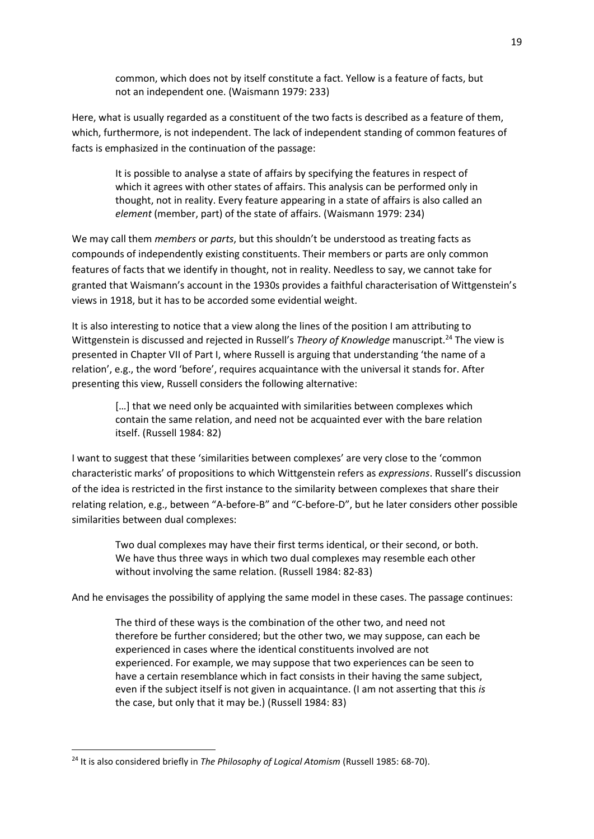common, which does not by itself constitute a fact. Yellow is a feature of facts, but not an independent one. (Waismann 1979: 233)

Here, what is usually regarded as a constituent of the two facts is described as a feature of them, which, furthermore, is not independent. The lack of independent standing of common features of facts is emphasized in the continuation of the passage:

It is possible to analyse a state of affairs by specifying the features in respect of which it agrees with other states of affairs. This analysis can be performed only in thought, not in reality. Every feature appearing in a state of affairs is also called an *element* (member, part) of the state of affairs. (Waismann 1979: 234)

We may call them *members* or *parts*, but this shouldn't be understood as treating facts as compounds of independently existing constituents. Their members or parts are only common features of facts that we identify in thought, not in reality. Needless to say, we cannot take for granted that Waismann's account in the 1930s provides a faithful characterisation of Wittgenstein's views in 1918, but it has to be accorded some evidential weight.

It is also interesting to notice that a view along the lines of the position I am attributing to Wittgenstein is discussed and rejected in Russell's *Theory of Knowledge* manuscript.<sup>24</sup> The view is presented in Chapter VII of Part I, where Russell is arguing that understanding 'the name of a relation', e.g., the word 'before', requires acquaintance with the universal it stands for. After presenting this view, Russell considers the following alternative:

[...] that we need only be acquainted with similarities between complexes which contain the same relation, and need not be acquainted ever with the bare relation itself. (Russell 1984: 82)

I want to suggest that these 'similarities between complexes' are very close to the 'common characteristic marks' of propositions to which Wittgenstein refers as *expressions*. Russell's discussion of the idea is restricted in the first instance to the similarity between complexes that share their relating relation, e.g., between "A-before-B" and "C-before-D", but he later considers other possible similarities between dual complexes:

Two dual complexes may have their first terms identical, or their second, or both. We have thus three ways in which two dual complexes may resemble each other without involving the same relation. (Russell 1984: 82-83)

And he envisages the possibility of applying the same model in these cases. The passage continues:

The third of these ways is the combination of the other two, and need not therefore be further considered; but the other two, we may suppose, can each be experienced in cases where the identical constituents involved are not experienced. For example, we may suppose that two experiences can be seen to have a certain resemblance which in fact consists in their having the same subject, even if the subject itself is not given in acquaintance. (I am not asserting that this *is* the case, but only that it may be.) (Russell 1984: 83)

**.** 

<sup>24</sup> It is also considered briefly in *The Philosophy of Logical Atomism* (Russell 1985: 68-70).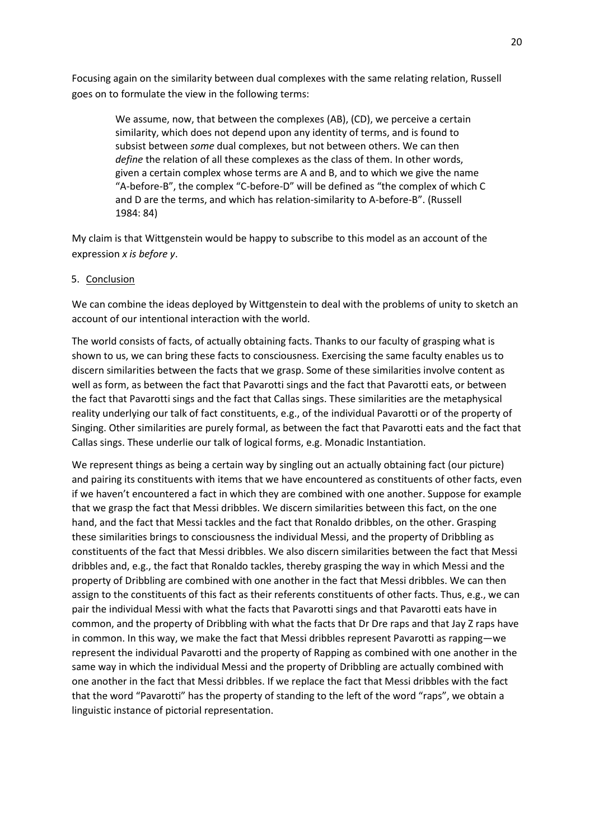Focusing again on the similarity between dual complexes with the same relating relation, Russell goes on to formulate the view in the following terms:

> We assume, now, that between the complexes (AB), (CD), we perceive a certain similarity, which does not depend upon any identity of terms, and is found to subsist between *some* dual complexes, but not between others. We can then *define* the relation of all these complexes as the class of them. In other words, given a certain complex whose terms are A and B, and to which we give the name "A-before-B", the complex "C-before-D" will be defined as "the complex of which C and D are the terms, and which has relation-similarity to A-before-B". (Russell 1984: 84)

My claim is that Wittgenstein would be happy to subscribe to this model as an account of the expression *x is before y*.

#### 5. Conclusion

We can combine the ideas deployed by Wittgenstein to deal with the problems of unity to sketch an account of our intentional interaction with the world.

The world consists of facts, of actually obtaining facts. Thanks to our faculty of grasping what is shown to us, we can bring these facts to consciousness. Exercising the same faculty enables us to discern similarities between the facts that we grasp. Some of these similarities involve content as well as form, as between the fact that Pavarotti sings and the fact that Pavarotti eats, or between the fact that Pavarotti sings and the fact that Callas sings. These similarities are the metaphysical reality underlying our talk of fact constituents, e.g., of the individual Pavarotti or of the property of Singing. Other similarities are purely formal, as between the fact that Pavarotti eats and the fact that Callas sings. These underlie our talk of logical forms, e.g. Monadic Instantiation.

We represent things as being a certain way by singling out an actually obtaining fact (our picture) and pairing its constituents with items that we have encountered as constituents of other facts, even if we haven't encountered a fact in which they are combined with one another. Suppose for example that we grasp the fact that Messi dribbles. We discern similarities between this fact, on the one hand, and the fact that Messi tackles and the fact that Ronaldo dribbles, on the other. Grasping these similarities brings to consciousness the individual Messi, and the property of Dribbling as constituents of the fact that Messi dribbles. We also discern similarities between the fact that Messi dribbles and, e.g., the fact that Ronaldo tackles, thereby grasping the way in which Messi and the property of Dribbling are combined with one another in the fact that Messi dribbles. We can then assign to the constituents of this fact as their referents constituents of other facts. Thus, e.g., we can pair the individual Messi with what the facts that Pavarotti sings and that Pavarotti eats have in common, and the property of Dribbling with what the facts that Dr Dre raps and that Jay Z raps have in common. In this way, we make the fact that Messi dribbles represent Pavarotti as rapping—we represent the individual Pavarotti and the property of Rapping as combined with one another in the same way in which the individual Messi and the property of Dribbling are actually combined with one another in the fact that Messi dribbles. If we replace the fact that Messi dribbles with the fact that the word "Pavarotti" has the property of standing to the left of the word "raps", we obtain a linguistic instance of pictorial representation.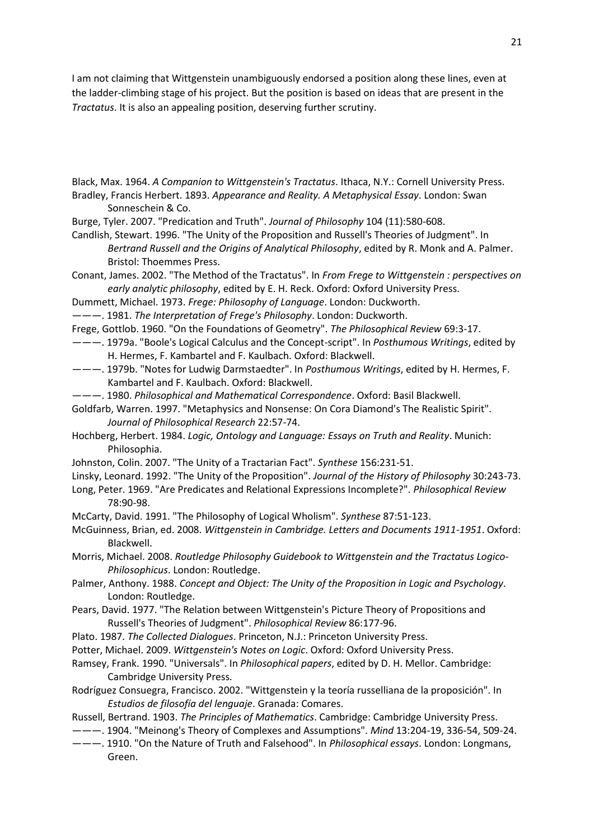I am not claiming that Wittgenstein unambiguously endorsed a position along these lines, even at the ladder-climbing stage of his project. But the position is based on ideas that are present in the *Tractatus*. It is also an appealing position, deserving further scrutiny.

Black, Max. 1964. *A Companion to Wittgenstein's Tractatus*. Ithaca, N.Y.: Cornell University Press. Bradley, Francis Herbert. 1893. *Appearance and Reality. A Metaphysical Essay*. London: Swan Sonneschein & Co.

Burge, Tyler. 2007. "Predication and Truth". *Journal of Philosophy* 104 (11):580-608.

Candlish, Stewart. 1996. "The Unity of the Proposition and Russell's Theories of Judgment". In *Bertrand Russell and the Origins of Analytical Philosophy*, edited by R. Monk and A. Palmer. Bristol: Thoemmes Press.

Conant, James. 2002. "The Method of the Tractatus". In *From Frege to Wittgenstein : perspectives on early analytic philosophy*, edited by E. H. Reck. Oxford: Oxford University Press.

Dummett, Michael. 1973. *Frege: Philosophy of Language*. London: Duckworth.

———. 1981. *The Interpretation of Frege's Philosophy*. London: Duckworth.

Frege, Gottlob. 1960. "On the Foundations of Geometry". *The Philosophical Review* 69:3-17.

———. 1979a. "Boole's Logical Calculus and the Concept-script". In *Posthumous Writings*, edited by H. Hermes, F. Kambartel and F. Kaulbach. Oxford: Blackwell.

———. 1979b. "Notes for Ludwig Darmstaedter". In *Posthumous Writings*, edited by H. Hermes, F. Kambartel and F. Kaulbach. Oxford: Blackwell.

- ———. 1980. *Philosophical and Mathematical Correspondence*. Oxford: Basil Blackwell.
- Goldfarb, Warren. 1997. "Metaphysics and Nonsense: On Cora Diamond's The Realistic Spirit". *Journal of Philosophical Research* 22:57-74.
- Hochberg, Herbert. 1984. *Logic, Ontology and Language: Essays on Truth and Reality*. Munich: Philosophia.
- Johnston, Colin. 2007. "The Unity of a Tractarian Fact". *Synthese* 156:231-51.

Linsky, Leonard. 1992. "The Unity of the Proposition". *Journal of the History of Philosophy* 30:243-73.

- Long, Peter. 1969. "Are Predicates and Relational Expressions Incomplete?". *Philosophical Review* 78:90-98.
- McCarty, David. 1991. "The Philosophy of Logical Wholism". *Synthese* 87:51-123.

McGuinness, Brian, ed. 2008. *Wittgenstein in Cambridge. Letters and Documents 1911-1951*. Oxford: Blackwell.

Morris, Michael. 2008. *Routledge Philosophy Guidebook to Wittgenstein and the Tractatus Logico-Philosophicus*. London: Routledge.

Palmer, Anthony. 1988. *Concept and Object: The Unity of the Proposition in Logic and Psychology*. London: Routledge.

Pears, David. 1977. "The Relation between Wittgenstein's Picture Theory of Propositions and Russell's Theories of Judgment". *Philosophical Review* 86:177-96.

Plato. 1987. *The Collected Dialogues*. Princeton, N.J.: Princeton University Press.

Potter, Michael. 2009. *Wittgenstein's Notes on Logic*. Oxford: Oxford University Press.

Ramsey, Frank. 1990. "Universals". In *Philosophical papers*, edited by D. H. Mellor. Cambridge: Cambridge University Press.

Rodríguez Consuegra, Francisco. 2002. "Wittgenstein y la teoría russelliana de la proposición". In *Estudios de filosofía del lenguaje*. Granada: Comares.

Russell, Bertrand. 1903. *The Principles of Mathematics*. Cambridge: Cambridge University Press.

———. 1904. "Meinong's Theory of Complexes and Assumptions". *Mind* 13:204-19, 336-54, 509-24.

———. 1910. "On the Nature of Truth and Falsehood". In *Philosophical essays*. London: Longmans, Green.